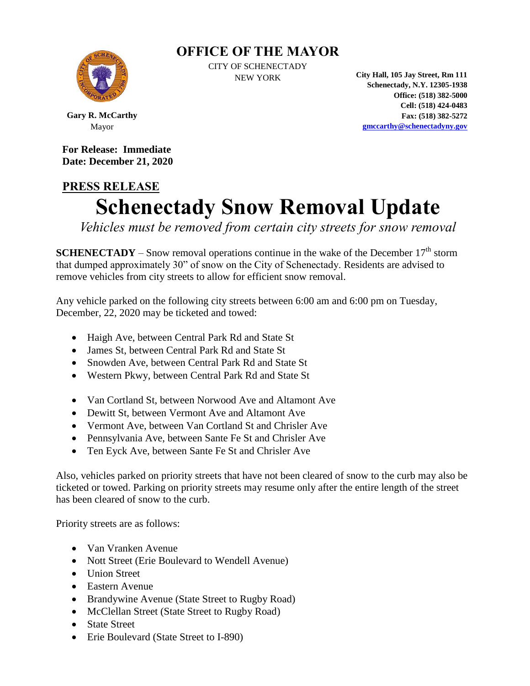## **OFFICE OF THE MAYOR**



CITY OF SCHENECTADY

NEW YORK **City Hall, 105 Jay Street, Rm 111 Schenectady, N.Y. 12305-1938 Office: (518) 382-5000 Cell: (518) 424-0483 Fax: (518) 382-5272 [gmccarthy@schenectadyny.gov](mailto:gmccarthy@schenectadyny.gov)**

**Gary R. McCarthy** Mayor

**For Release: Immediate Date: December 21, 2020**

## **PRESS RELEASE Schenectady Snow Removal Update**

*Vehicles must be removed from certain city streets for snow removal*

**SCHENECTADY** – Snow removal operations continue in the wake of the December  $17<sup>th</sup>$  storm that dumped approximately 30" of snow on the City of Schenectady. Residents are advised to remove vehicles from city streets to allow for efficient snow removal.

Any vehicle parked on the following city streets between 6:00 am and 6:00 pm on Tuesday, December, 22, 2020 may be ticketed and towed:

- Haigh Ave, between Central Park Rd and State St
- James St, between Central Park Rd and State St
- Snowden Ave, between Central Park Rd and State St
- Western Pkwy, between Central Park Rd and State St
- Van Cortland St, between Norwood Ave and Altamont Ave
- Dewitt St, between Vermont Ave and Altamont Ave
- Vermont Ave, between Van Cortland St and Chrisler Ave
- Pennsylvania Ave, between Sante Fe St and Chrisler Ave
- Ten Eyck Ave, between Sante Fe St and Chrisler Ave

Also, vehicles parked on priority streets that have not been cleared of snow to the curb may also be ticketed or towed. Parking on priority streets may resume only after the entire length of the street has been cleared of snow to the curb.

Priority streets are as follows:

- Van Vranken Avenue
- Nott Street (Erie Boulevard to Wendell Avenue)
- Union Street
- Eastern Avenue
- Brandywine Avenue (State Street to Rugby Road)
- McClellan Street (State Street to Rugby Road)
- State Street
- Erie Boulevard (State Street to I-890)